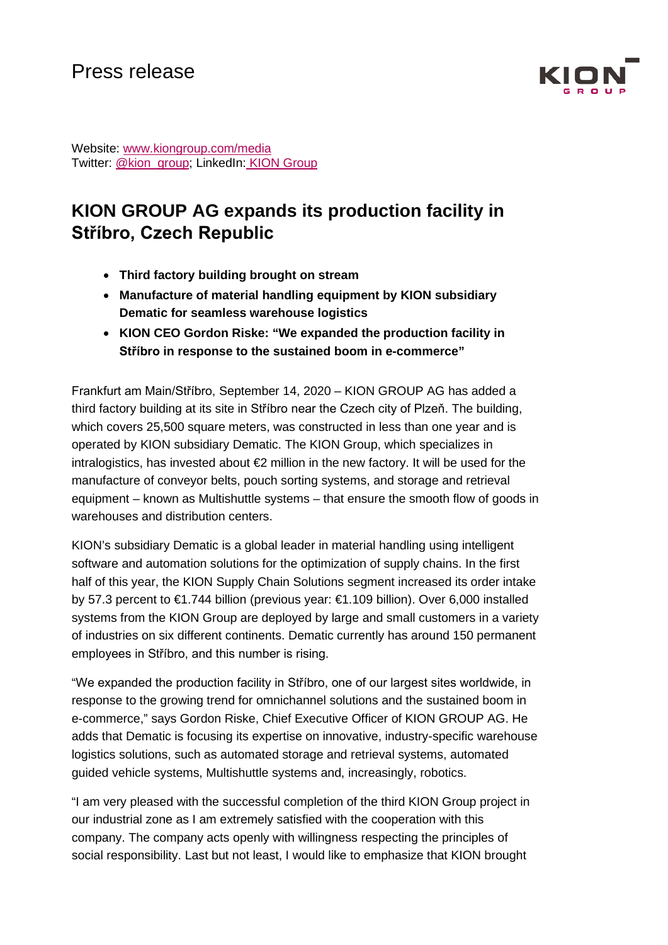

Website: [www.kiongroup.com/media](https://eur02.safelinks.protection.outlook.com/?url=http%3A%2F%2Fwww.kiongroup.com%2Fmedien&data=02%7C01%7CRene.Glock%40kiongroup.com%7C5e5bca3a3f334aa363bd08d6ef4156b0%7C13c728e0bb0c4cf78e105b327279d6d9%7C0%7C0%7C636959461240940155&sdata=E%2F7x0JVsCnlmN%2FwK6dD47zlcjp5ATtEt%2Bc3xaggKZaI%3D&reserved=0) Twitter: [@kion\\_group;](https://twitter.com/kion_group) LinkedIn: KION Group

# **KION GROUP AG expands its production facility in Stříbro, Czech Republic**

- **Third factory building brought on stream**
- **Manufacture of material handling equipment by KION subsidiary Dematic for seamless warehouse logistics**
- **KION CEO Gordon Riske: "We expanded the production facility in Stříbro in response to the sustained boom in e-commerce"**

Frankfurt am Main/Stříbro, September 14, 2020 – KION GROUP AG has added a third factory building at its site in Stříbro near the Czech city of Plzeň. The building, which covers 25,500 square meters, was constructed in less than one year and is operated by KION subsidiary Dematic. The KION Group, which specializes in intralogistics, has invested about  $\epsilon$  million in the new factory. It will be used for the manufacture of conveyor belts, pouch sorting systems, and storage and retrieval equipment – known as Multishuttle systems – that ensure the smooth flow of goods in warehouses and distribution centers.

KION's subsidiary Dematic is a global leader in material handling using intelligent software and automation solutions for the optimization of supply chains. In the first half of this year, the KION Supply Chain Solutions segment increased its order intake by 57.3 percent to €1.744 billion (previous year: €1.109 billion). Over 6,000 installed systems from the KION Group are deployed by large and small customers in a variety of industries on six different continents. Dematic currently has around 150 permanent employees in Stříbro, and this number is rising.

"We expanded the production facility in Stříbro, one of our largest sites worldwide, in response to the growing trend for omnichannel solutions and the sustained boom in e-commerce," says Gordon Riske, Chief Executive Officer of KION GROUP AG. He adds that Dematic is focusing its expertise on innovative, industry-specific warehouse logistics solutions, such as automated storage and retrieval systems, automated guided vehicle systems, Multishuttle systems and, increasingly, robotics.

"I am very pleased with the successful completion of the third KION Group project in our industrial zone as I am extremely satisfied with the cooperation with this company. The company acts openly with willingness respecting the principles of social responsibility. Last but not least, I would like to emphasize that KION brought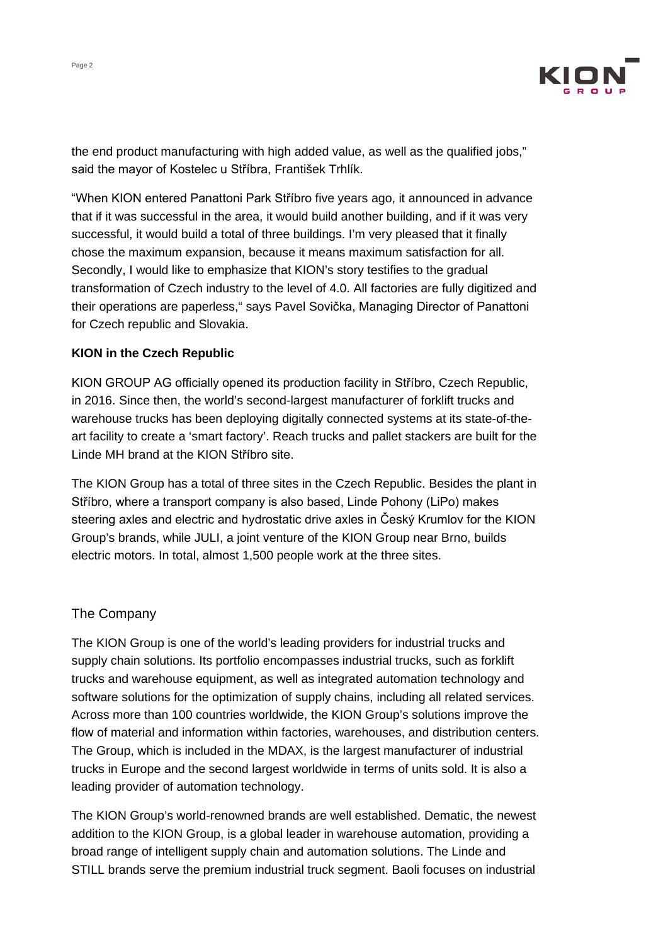

the end product manufacturing with high added value, as well as the qualified jobs," said the mayor of Kostelec u Stříbra, František Trhlík.

"When KION entered Panattoni Park Stříbro five years ago, it announced in advance that if it was successful in the area, it would build another building, and if it was very successful, it would build a total of three buildings. I'm very pleased that it finally chose the maximum expansion, because it means maximum satisfaction for all. Secondly, I would like to emphasize that KION's story testifies to the gradual transformation of Czech industry to the level of 4.0. All factories are fully digitized and their operations are paperless," says Pavel Sovička, Managing Director of Panattoni for Czech republic and Slovakia.

## **KION in the Czech Republic**

KION GROUP AG officially opened its production facility in Stříbro, Czech Republic, in 2016. Since then, the world's second-largest manufacturer of forklift trucks and warehouse trucks has been deploying digitally connected systems at its state-of-theart facility to create a 'smart factory'. Reach trucks and pallet stackers are built for the Linde MH brand at the KION Stříbro site.

The KION Group has a total of three sites in the Czech Republic. Besides the plant in Stříbro, where a transport company is also based, Linde Pohony (LiPo) makes steering axles and electric and hydrostatic drive axles in Český Krumlov for the KION Group's brands, while JULI, a joint venture of the KION Group near Brno, builds electric motors. In total, almost 1,500 people work at the three sites.

## The Company

The KION Group is one of the world's leading providers for industrial trucks and supply chain solutions. Its portfolio encompasses industrial trucks, such as forklift trucks and warehouse equipment, as well as integrated automation technology and software solutions for the optimization of supply chains, including all related services. Across more than 100 countries worldwide, the KION Group's solutions improve the flow of material and information within factories, warehouses, and distribution centers. The Group, which is included in the MDAX, is the largest manufacturer of industrial trucks in Europe and the second largest worldwide in terms of units sold. It is also a leading provider of automation technology.

The KION Group's world-renowned brands are well established. Dematic, the newest addition to the KION Group, is a global leader in warehouse automation, providing a broad range of intelligent supply chain and automation solutions. The Linde and STILL brands serve the premium industrial truck segment. Baoli focuses on industrial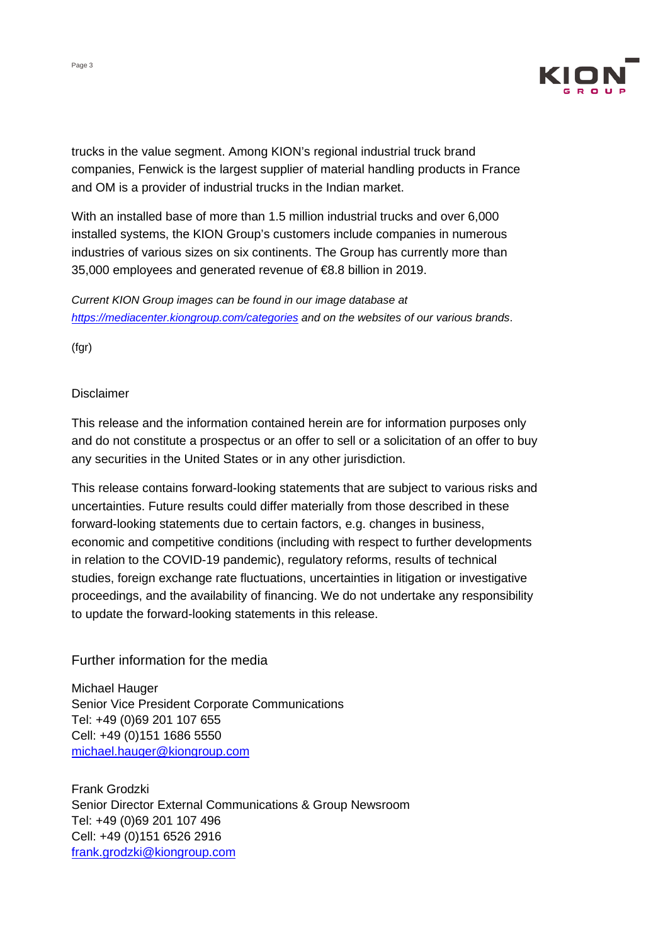

trucks in the value segment. Among KION's regional industrial truck brand companies, Fenwick is the largest supplier of material handling products in France and OM is a provider of industrial trucks in the Indian market.

With an installed base of more than 1.5 million industrial trucks and over 6,000 installed systems, the KION Group's customers include companies in numerous industries of various sizes on six continents. The Group has currently more than 35,000 employees and generated revenue of €8.8 billion in 2019.

*Current KION Group images can be found in our image database at <https://mediacenter.kiongroup.com/categories> and on the websites of our various brands*.

(fgr)

### Disclaimer

This release and the information contained herein are for information purposes only and do not constitute a prospectus or an offer to sell or a solicitation of an offer to buy any securities in the United States or in any other jurisdiction.

This release contains forward-looking statements that are subject to various risks and uncertainties. Future results could differ materially from those described in these forward-looking statements due to certain factors, e.g. changes in business, economic and competitive conditions (including with respect to further developments in relation to the COVID-19 pandemic), regulatory reforms, results of technical studies, foreign exchange rate fluctuations, uncertainties in litigation or investigative proceedings, and the availability of financing. We do not undertake any responsibility to update the forward-looking statements in this release.

## Further information for the media

Michael Hauger Senior Vice President Corporate Communications Tel: +49 (0)69 201 107 655 Cell: +49 (0)151 1686 5550 [michael.hauger@kiongroup.com](mailto:michael.hauger@kiongroup.com)

Frank Grodzki Senior Director External Communications & Group Newsroom Tel: +49 (0)69 201 107 496 Cell: +49 (0)151 6526 2916 [frank.grodzki@kiongroup.com](mailto:frank.grodzki@kiongroup.com)